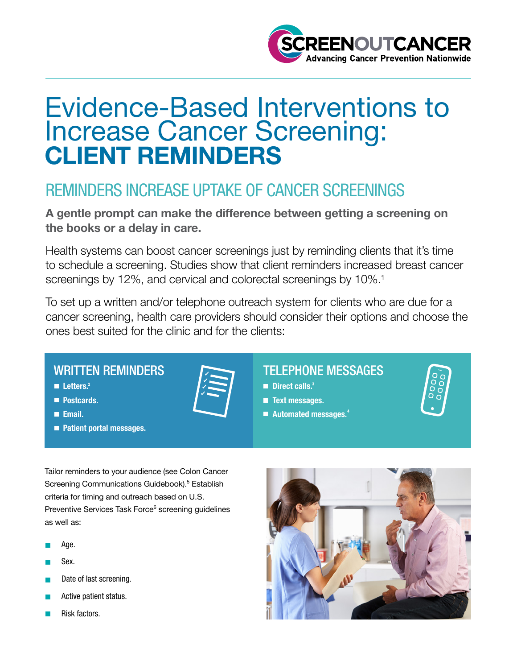

# Evidence-Based Interventions to Increase Cancer Screening: CLIENT REMINDERS

## REMINDERS INCREASE UPTAKE OF CANCER SCREENINGS

A gentle prompt can make the difference between getting a screening on the books or a delay in care.

Health systems can boost cancer screenings just by reminding clients that it's time to schedule a screening. Studies show that client reminders increased breast cancer screenings by 12%, and cervical and colorectal screenings by 10%.<sup>1</sup>

To set up a written and/or telephone outreach system for clients who are due for a cancer screening, health care providers should consider their options and choose the ones best suited for the clinic and for the clients:

#### WRITTEN REMINDERS

 $L$ etters.<sup>2</sup>

**Postcards.** 

**Email.** 

**Patient portal messages.** 

#### TELEPHONE MESSAGES

- $\mathbb{Z}$  and  $\mathbb{Z}$  and  $\mathbb{Z}$  and  $\mathbb{Z}$  are  $\mathbb{Z}$  in the Direct calls.<sup>3</sup>
	- **Text messages.**
	- Automated messages. 4



Tailor reminders to your audience (see Colon Cancer Screening Communications Guidebook).<sup>5</sup> Establish criteria for timing and outreach based on U.S. Preventive Services Task Force<sup>6</sup> screening guidelines as well as:

- Age.
- Sex.
- Date of last screening.
- Active patient status.
- Risk factors.